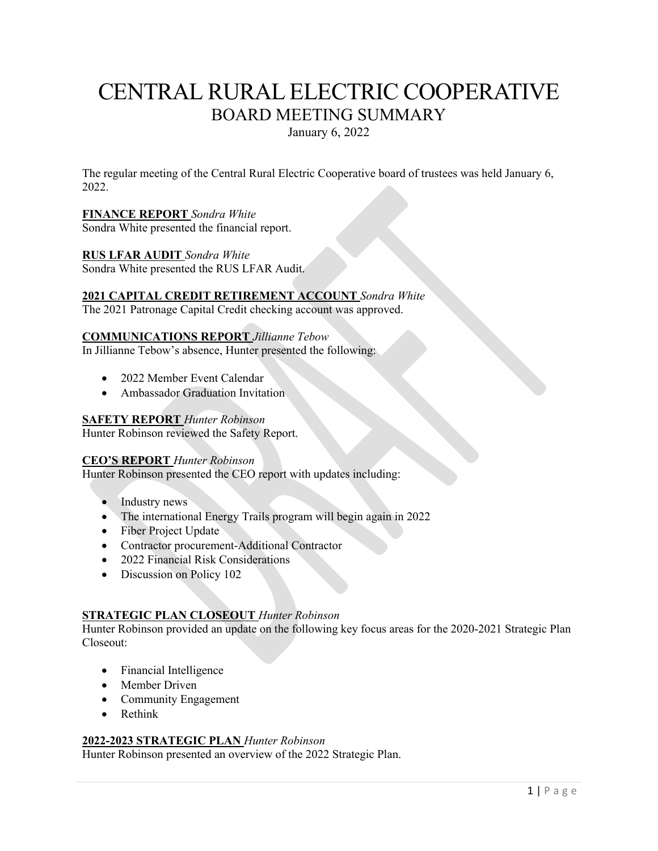# CENTRAL RURAL ELECTRIC COOPERATIVE BOARD MEETING SUMMARY

January 6, 2022

The regular meeting of the Central Rural Electric Cooperative board of trustees was held January 6, 2022.

# **FINANCE REPORT** *Sondra White*

Sondra White presented the financial report.

## **RUS LFAR AUDIT** *Sondra White*

Sondra White presented the RUS LFAR Audit.

## **2021 CAPITAL CREDIT RETIREMENT ACCOUNT** *Sondra White*

The 2021 Patronage Capital Credit checking account was approved.

### **COMMUNICATIONS REPORT** *Jillianne Tebow*

In Jillianne Tebow's absence, Hunter presented the following:

- 2022 Member Event Calendar
- Ambassador Graduation Invitation

## **SAFETY REPORT** *Hunter Robinson*

Hunter Robinson reviewed the Safety Report.

### **CEO'S REPORT** *Hunter Robinson*

Hunter Robinson presented the CEO report with updates including:

- Industry news
- The international Energy Trails program will begin again in 2022
- Fiber Project Update
- Contractor procurement-Additional Contractor
- 2022 Financial Risk Considerations
- Discussion on Policy 102

# **STRATEGIC PLAN CLOSEOUT** *Hunter Robinson*

Hunter Robinson provided an update on the following key focus areas for the 2020-2021 Strategic Plan Closeout:

- Financial Intelligence
- Member Driven
- Community Engagement
- Rethink

### **2022-2023 STRATEGIC PLAN** *Hunter Robinson*

Hunter Robinson presented an overview of the 2022 Strategic Plan.